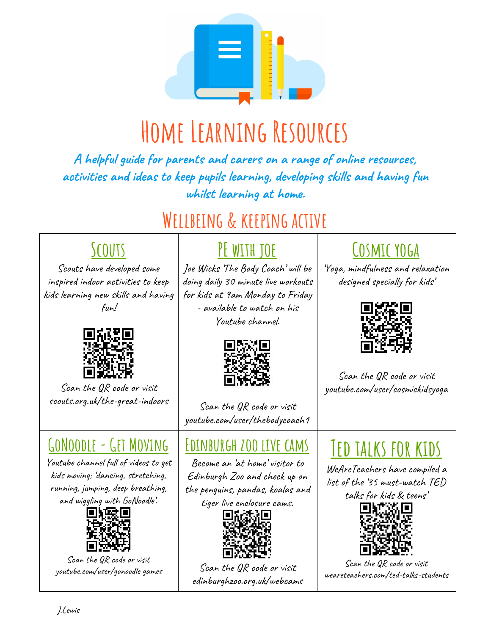

# **Home Learning Resources**

**A helpful guide for parents and carers on a range of online resources, activities and ideas to keep pupils learning, developing skills and having fun whilst learning at home.**

### **Wellbeing & keeping active**

#### **Scouts**

Scouts have developed some inspired indoor activities to keep kids learning new skills and having fun!



Scan the QR code or visit scouts.org.uk/the-great-indoors

#### **GoNoodle-Get Moving**

Youtube channel full of videos to get kids moving; 'dancing, stretching, running, jumping, deep breathing, and wiggling with GoNoodle'.



Scan the QR code or visit youtube.com/user/gonoodle games

### **PE with joe**

Joe Wicks 'The Body Coach' will be doing daily 30 minute live workouts for kids at 9am Monday to Friday - available to watch on his Youtube channel.



Scan the QR code or visit youtube.com/user/thebodycoach1

#### **Edinburgh zoo live cams**

Become an 'at home' visitor to Edinburgh Zoo and check up on the penguins, pandas, koalas and tiger live enclosure cams.



Scan the QR code or visit edinburghzoo.org.uk/webcams

### **Cosmic yoga**

'Yoga, mindfulness and relaxation designed specially for kids'



Scan the QR code or visit youtube.com/user/cosmickidsyoga

# **Ted talks for kids**

WeAreTeachers have compiled a list of the '35 must-watch TED

talks for kids & teens'



Scan the QR code or visit weareteachers.com/ted-talks-students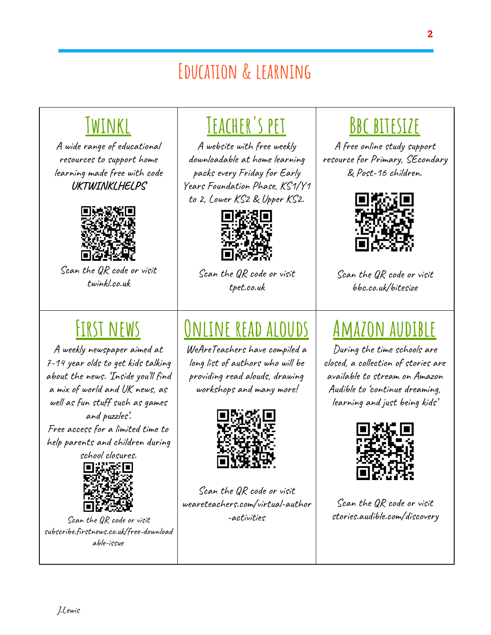### **Education & learning**

### **Twinkl**

A wide range of educational resources to support home learning made free with code **UKTWINKLHELPS**



Scan the QR code or visit twinkl.co.uk

### **First news**

A weekly newspaper aimed at 7-14 year olds to get kids talking about the news. 'Inside you'll find a mix of world and UK news, as well as fun stuff such as games and puzzles'. Free access for a limited time to help parents and children during



Scan the QR code or visit subscribe.firstnews.co.uk/free-download able-issue

### **Teacher's pet**

A website with free weekly downloadable at home learning packs every Friday for Early Years Foundation Phase, KS1/Y1 to 2, Lower KS2 & Upper KS2.



Scan the QR code or visit tpet.co.uk

# **Online read alouds**

WeAreTeachers have compiled a long list of authors who will be providing read alouds, drawing workshops and many more!



Scan the QR code or visit weareteachers.com/virtual-author -activities

### **Bbc bitesize**

A free online study support resource for Primary, SEcondary & Post-16 children.



Scan the QR code or visit bbc.co.uk/bitesize

# **Amazon audible**

During the time schools are closed, a collection of stories are available to stream on Amazon Audible to 'continue dreaming, learning and just being kids'



Scan the QR code or visit stories.audible.com/discovery